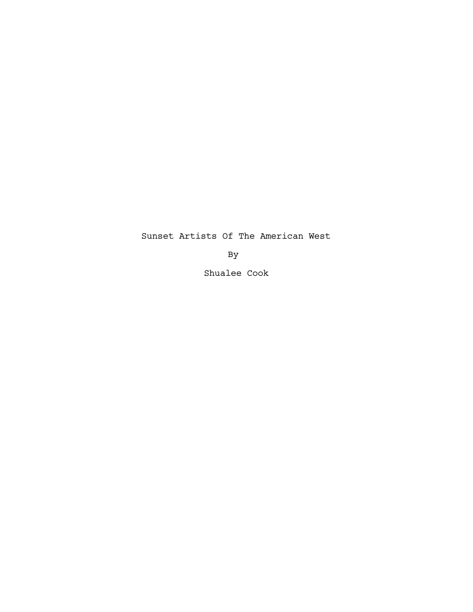Sunset Artists Of The American West

By

Shualee Cook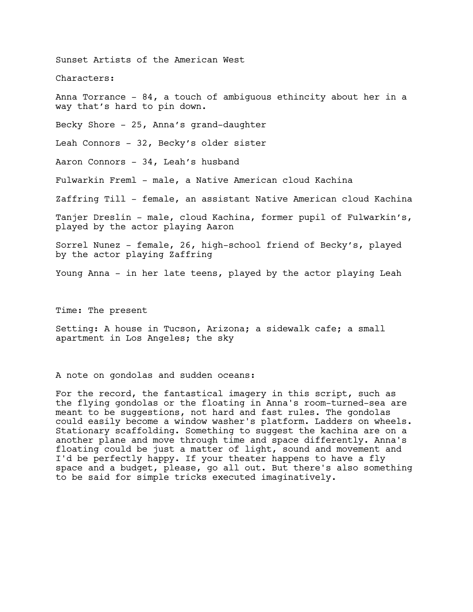Sunset Artists of the American West

Characters:

Anna Torrance  $-84$ , a touch of ambiguous ethincity about her in a way that's hard to pin down.

Becky Shore - 25, Anna's grand-daughter

Leah Connors - 32, Becky's older sister

Aaron Connors - 34, Leah's husband

Fulwarkin Freml - male, a Native American cloud Kachina

Zaffring Till - female, an assistant Native American cloud Kachina

Tanjer Dreslin - male, cloud Kachina, former pupil of Fulwarkin's, played by the actor playing Aaron

Sorrel Nunez - female, 26, high-school friend of Becky's, played by the actor playing Zaffring

Young Anna - in her late teens, played by the actor playing Leah

Time: The present

Setting: A house in Tucson, Arizona; a sidewalk cafe; a small apartment in Los Angeles; the sky

A note on gondolas and sudden oceans:

For the record, the fantastical imagery in this script, such as the flying gondolas or the floating in Anna's room-turned-sea are meant to be suggestions, not hard and fast rules. The gondolas could easily become a window washer's platform. Ladders on wheels. Stationary scaffolding. Something to suggest the kachina are on a another plane and move through time and space differently. Anna's floating could be just a matter of light, sound and movement and I'd be perfectly happy. If your theater happens to have a fly space and a budget, please, go all out. But there's also something to be said for simple tricks executed imaginatively.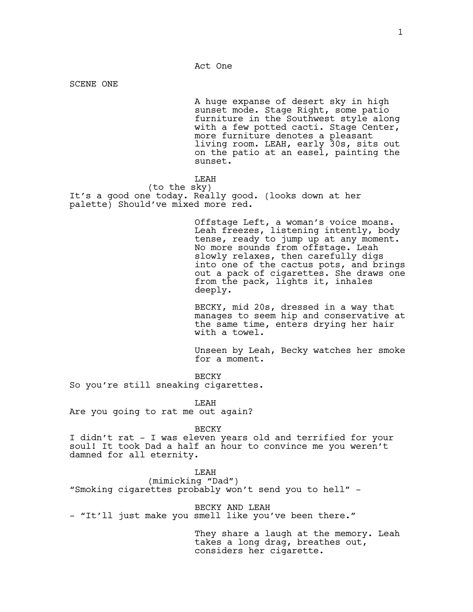SCENE ONE

A huge expanse of desert sky in high sunset mode. Stage Right, some patio furniture in the Southwest style along with a few potted cacti. Stage Center, more furniture denotes a pleasant living room. LEAH, early 30s, sits out on the patio at an easel, painting the sunset.

#### LEAH

(to the sky) It's a good one today. Really good. (looks down at her palette) Should've mixed more red.

> Offstage Left, a woman's voice moans. Leah freezes, listening intently, body tense, ready to jump up at any moment. No more sounds from offstage. Leah slowly relaxes, then carefully digs into one of the cactus pots, and brings out a pack of cigarettes. She draws one from the pack, lights it, inhales deeply.

BECKY, mid 20s, dressed in a way that manages to seem hip and conservative at the same time, enters drying her hair with a towel.

Unseen by Leah, Becky watches her smoke for a moment.

BECKY

So you're still sneaking cigarettes.

LEAH

Are you going to rat me out again?

BECKY

I didn't rat - I was eleven years old and terrified for your soul! It took Dad a half an hour to convince me you weren't damned for all eternity.

LEAH

(mimicking "Dad") "Smoking cigarettes probably won't send you to hell" -

BECKY AND LEAH - "It'll just make you smell like you've been there."

> They share a laugh at the memory. Leah takes a long drag, breathes out, considers her cigarette.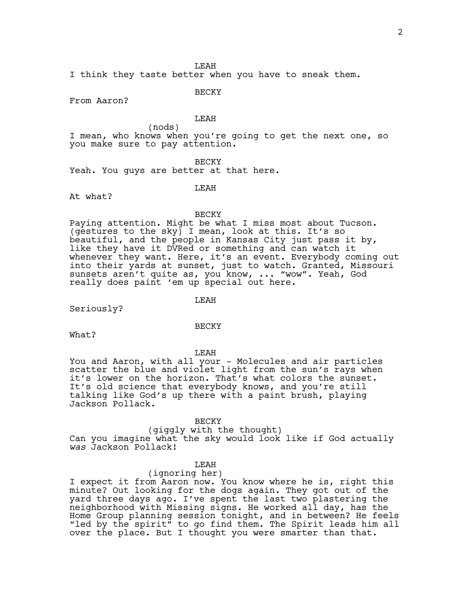LEAH

I think they taste better when you have to sneak them.

BECKY

From Aaron?

## LEAH

(nods) I mean, who knows when you're going to get the next one, so you make sure to pay attention.

### BECKY

Yeah. You guys are better at that here.

#### LEAH

At what?

#### BECKY

Paying attention. Might be what I miss most about Tucson. (gestures to the sky) I mean, look at this. It's so beautiful, and the people in Kansas City just pass it by, like they have it DVRed or something and can watch it whenever they want. Here, it's an event. Everybody coming out into their yards at sunset, just to watch. Granted, Missouri sunsets aren't quite as, you know, ... "wow". Yeah, God really does paint 'em up special out here.

LEAH

Seriously?

#### BECKY

What?

LEAH

You and Aaron, with all your - Molecules and air particles scatter the blue and violet light from the sun's rays when it's lower on the horizon. That's what colors the sunset. It's old science that everybody knows, and you're still talking like God's up there with a paint brush, playing Jackson Pollack.

#### BECKY

# (giggly with the thought)

Can you imagine what the sky would look like if God actually *was* Jackson Pollack!

## LEAH

#### (ignoring her)

I expect it from Aaron now. You know where he is, right this minute? Out looking for the dogs again. They got out of the yard three days ago. I've spent the last two plastering the neighborhood with Missing signs. He worked all day, has the Home Group planning session tonight, and in between? He feels "led by the spirit" to go find them. The Spirit leads him all over the place. But I thought you were smarter than that.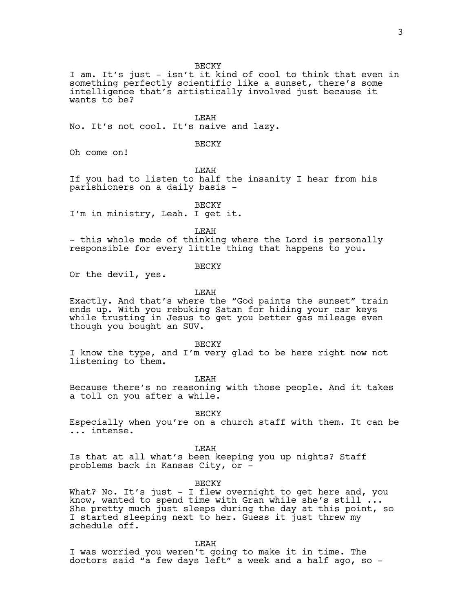BECKY

I am. It's just - isn't it kind of cool to think that even in something perfectly scientific like a sunset, there's some intelligence that's artistically involved just because it wants to be?

LEAH

No. It's not cool. It's naive and lazy.

## BECKY

Oh come on!

LEAH

If you had to listen to half the insanity I hear from his parishioners on a daily basis -

BECKY

I'm in ministry, Leah. I get it.

LEAH

- this whole mode of thinking where the Lord is personally responsible for every little thing that happens to you.

BECKY

Or the devil, yes.

LEAH

Exactly. And that's where the "God paints the sunset" train ends up. With you rebuking Satan for hiding your car keys while trusting in Jesus to get you better gas mileage even though you bought an SUV.

BECKY

I know the type, and I'm very glad to be here right now not listening to them.

LEAH

Because there's no reasoning with those people. And it takes a toll on you after a while.

BECKY

Especially when you're on a church staff with them. It can be ... intense.

LEAH

Is that at all what's been keeping you up nights? Staff problems back in Kansas City, or -

BECKY

What? No. It's just - I flew overnight to get here and, you know, wanted to spend time with Gran while she's still ... She pretty much just sleeps during the day at this point, so I started sleeping next to her. Guess it just threw my schedule off.

LEAH

I was worried you weren't going to make it in time. The doctors said "a few days left" a week and a half ago, so -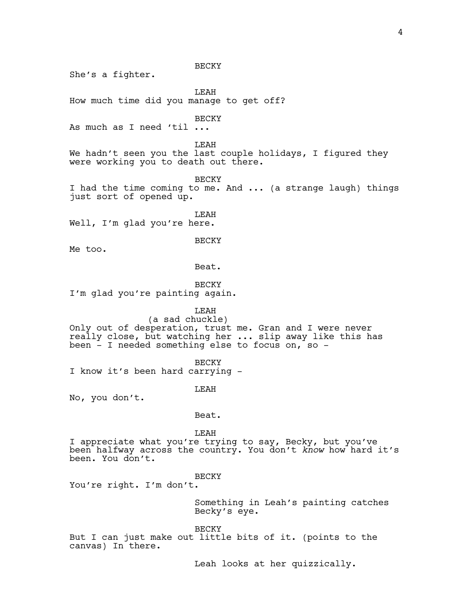BECKY She's a fighter. **T.EAH** How much time did you manage to get off? BECKY As much as I need 'til ... LEAH We hadn't seen you the last couple holidays, I figured they were working you to death out there. BECKY I had the time coming to me. And ... (a strange laugh) things just sort of opened up. LEAH Well, I'm glad you're here. BECKY Me too. Beat. BECKY I'm glad you're painting again. LEAH (a sad chuckle) Only out of desperation, trust me. Gran and I were never really close, but watching her ... slip away like this has been - I needed something else to focus on, so - BECKY I know it's been hard carrying - LEAH No, you don't. Beat. LEAH I appreciate what you're trying to say, Becky, but you've been halfway across the country. You don't *know* how hard it's been. You don't. BECKY You're right. I'm don't. Something in Leah's painting catches Becky's eye.

**BECKY** 

But I can just make out little bits of it. (points to the canvas) In there.

Leah looks at her quizzically.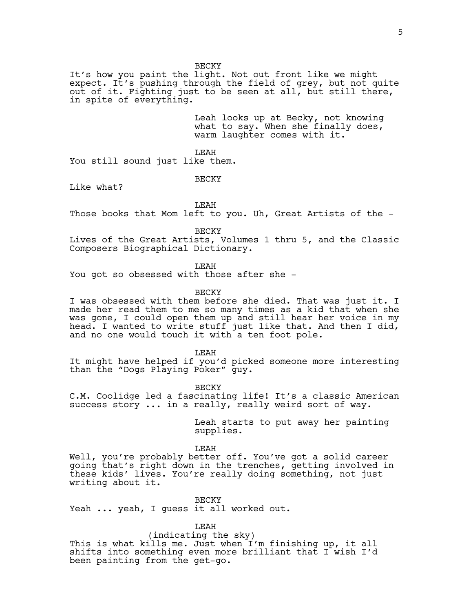BECKY

It's how you paint the light. Not out front like we might expect. It's pushing through the field of grey, but not quite out of it. Fighting just to be seen at all, but still there, in spite of everything.

> Leah looks up at Becky, not knowing what to say. When she finally does, warm laughter comes with it.

LEAH

You still sound just like them.

BECKY

Like what?

LEAH

Those books that Mom left to you. Uh, Great Artists of the -

BECKY

Lives of the Great Artists, Volumes 1 thru 5, and the Classic Composers Biographical Dictionary.

LEAH

You got so obsessed with those after she -

**BECKY** 

I was obsessed with them before she died. That was just it. I made her read them to me so many times as a kid that when she was gone, I could open them up and still hear her voice in my head. I wanted to write stuff just like that. And then I did, and no one would touch it with a ten foot pole.

LEAH

It might have helped if you'd picked someone more interesting than the "Dogs Playing Poker" guy.

BECKY

C.M. Coolidge led a fascinating life! It's a classic American success story ... in a really, really weird sort of way.

> Leah starts to put away her painting supplies.

LEAH

Well, you're probably better off. You've got a solid career going that's right down in the trenches, getting involved in these kids' lives. You're really doing something, not just writing about it.

BECKY

Yeah ... yeah, I guess it all worked out.

LEAH

(indicating the sky)

This is what kills me. Just when I'm finishing up, it all shifts into something even more brilliant that I wish I'd been painting from the get-go.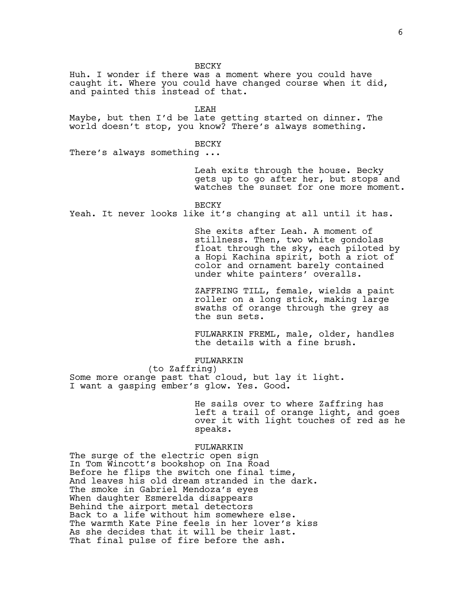Huh. I wonder if there was a moment where you could have caught it. Where you could have changed course when it did, and painted this instead of that. LEAH Maybe, but then I'd be late getting started on dinner. The world doesn't stop, you know? There's always something. BECKY There's always something ... Leah exits through the house. Becky gets up to go after her, but stops and watches the sunset for one more moment. BECKY Yeah. It never looks like it's changing at all until it has. She exits after Leah. A moment of stillness. Then, two white gondolas float through the sky, each piloted by a Hopi Kachina spirit, both a riot of color and ornament barely contained under white painters' overalls. ZAFFRING TILL, female, wields a paint roller on a long stick, making large swaths of orange through the grey as the sun sets. FULWARKIN FREML, male, older, handles the details with a fine brush. FULWARKIN (to Zaffring) Some more orange past that cloud, but lay it light. I want a gasping ember's glow. Yes. Good. He sails over to where Zaffring has left a trail of orange light, and goes over it with light touches of red as he speaks. FULWARKIN The surge of the electric open sign In Tom Wincott's bookshop on Ina Road Before he flips the switch one final time, And leaves his old dream stranded in the dark. The smoke in Gabriel Mendoza's eyes When daughter Esmerelda disappears Behind the airport metal detectors Back to a life without him somewhere else. The warmth Kate Pine feels in her lover's kiss As she decides that it will be their last. That final pulse of fire before the ash.

BECKY

6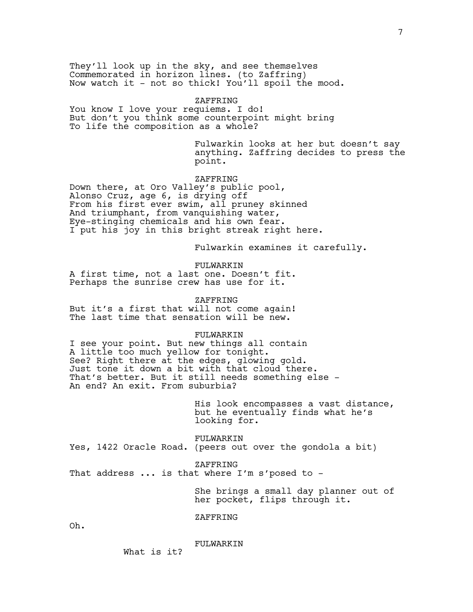They'll look up in the sky, and see themselves Commemorated in horizon lines. (to Zaffring) Now watch it - not so thick! You'll spoil the mood.

#### ZAFFRING

You know I love your requiems. I do! But don't you think some counterpoint might bring To life the composition as a whole?

> Fulwarkin looks at her but doesn't say anything. Zaffring decides to press the point.

## ZAFFRING

Down there, at Oro Valley's public pool, Alonso Cruz, age 6, is drying off From his first ever swim, all pruney skinned And triumphant, from vanquishing water, Eye-stinging chemicals and his own fear. I put his joy in this bright streak right here.

Fulwarkin examines it carefully.

FULWARKIN A first time, not a last one. Doesn't fit. Perhaps the sunrise crew has use for it.

ZAFFRING But it's a first that will not come again! The last time that sensation will be new.

FULWARKIN I see your point. But new things all contain A little too much yellow for tonight. See? Right there at the edges, glowing gold. Just tone it down a bit with that cloud there. That's better. But it still needs something else - An end? An exit. From suburbia?

> His look encompasses a vast distance, but he eventually finds what he's looking for.

FULWARKIN Yes, 1422 Oracle Road. (peers out over the gondola a bit)

ZAFFRING

That address  $\ldots$  is that where I'm s'posed to -

She brings a small day planner out of her pocket, flips through it.

ZAFFRING

Oh.

#### FULWARKIN

What is it?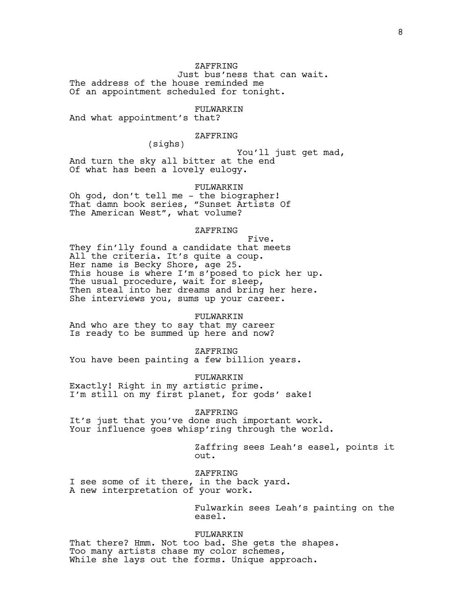ZAFFRING Just bus'ness that can wait. The address of the house reminded me Of an appointment scheduled for tonight.

FULWARKIN

And what appointment's that?

## ZAFFRING

(sighs)

 You'll just get mad, And turn the sky all bitter at the end Of what has been a lovely eulogy.

FULWARKIN

Oh god, don't tell me - the biographer! That damn book series, "Sunset Artists Of The American West", what volume?

# ZAFFRING

 Five. They fin'lly found a candidate that meets All the criteria. It's quite a coup. Her name is Becky Shore, age 25. This house is where I'm s'posed to pick her up. The usual procedure, wait for sleep, Then steal into her dreams and bring her here. She interviews you, sums up your career.

### FULWARKIN

And who are they to say that my career Is ready to be summed up here and now?

ZAFFRING

You have been painting a few billion years.

FULWARKIN Exactly! Right in my artistic prime. I'm still on my first planet, for gods' sake!

ZAFFRING

It's just that you've done such important work. Your influence goes whisp'ring through the world.

> Zaffring sees Leah's easel, points it out.

ZAFFRING I see some of it there, in the back yard. A new interpretation of your work.

> Fulwarkin sees Leah's painting on the easel.

FULWARKIN That there? Hmm. Not too bad. She gets the shapes. Too many artists chase my color schemes, While she lays out the forms. Unique approach.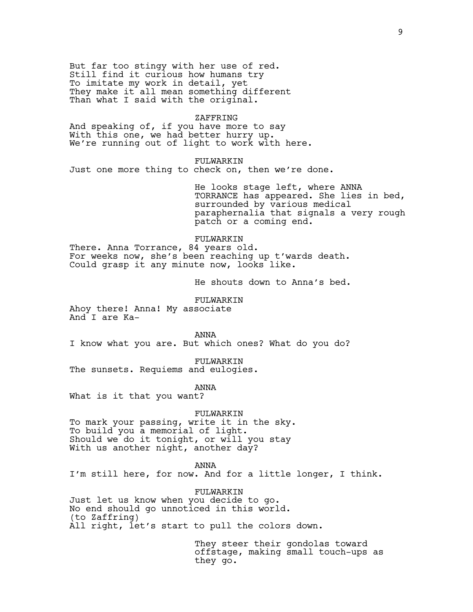But far too stingy with her use of red. Still find it curious how humans try To imitate my work in detail, yet They make it all mean something different Than what I said with the original.

#### ZAFFRING

And speaking of, if you have more to say With this one, we had better hurry up. We're running out of light to work with here.

## FULWARKIN

Just one more thing to check on, then we're done.

He looks stage left, where ANNA TORRANCE has appeared. She lies in bed, surrounded by various medical paraphernalia that signals a very rough patch or a coming end.

## FULWARKIN

There. Anna Torrance, 84 years old. For weeks now, she's been reaching up t'wards death. Could grasp it any minute now, looks like.

He shouts down to Anna's bed.

FULWARKIN

Ahoy there! Anna! My associate And I are Ka-

ANNA I know what you are. But which ones? What do you do?

FULWARKIN The sunsets. Requiems and eulogies.

ANNA

What is it that you want?

#### FULWARKIN

To mark your passing, write it in the sky. To build you a memorial of light. Should we do it tonight, or will you stay With us another night, another day?

ANNA

I'm still here, for now. And for a little longer, I think.

FULWARKIN

Just let us know when you decide to go. No end should go unnoticed in this world. (to Zaffring)

All right, let's start to pull the colors down.

They steer their gondolas toward offstage, making small touch-ups as they go.